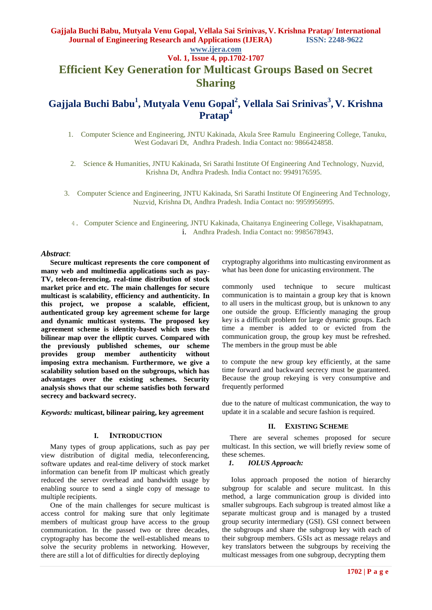## **Gajjala Buchi Babu, Mutyala Venu Gopal, Vellala Sai Srinivas, V. Krishna Pratap/ International Journal of Engineering Research and Applications (IJERA) ISSN: 2248-9622**

# **www.ijera.com**

**Vol. 1, Issue 4, pp.1702-1707 Efficient Key Generation for Multicast Groups Based on Secret** 

## **Sharing**

# **Gajjala Buchi Babu<sup>1</sup> , Mutyala Venu Gopal<sup>2</sup> , Vellala Sai Srinivas<sup>3</sup> , V. Krishna Pratap<sup>4</sup>**

1. Computer Science and Engineering, JNTU Kakinada, Akula Sree Ramulu Engineering College, Tanuku, West Godavari Dt, Andhra Pradesh. India Contact no: 9866424858.

2. Science & Humanities, JNTU Kakinada, Sri Sarathi Institute Of Engineering And Technology, Nuzvid, Krishna Dt, Andhra Pradesh. India Contact no: 9949176595.

3. Computer Science and Engineering, JNTU Kakinada, Sri Sarathi Institute Of Engineering And Technology, Nuzvid, Krishna Dt, Andhra Pradesh. India Contact no: 9959956995.

4. Computer Science and Engineering, JNTU Kakinada, Chaitanya Engineering College, Visakhapatnam, i. Andhra Pradesh. India Contact no: 9985678943.

### *Abstract*:

 **Secure multicast represents the core component of many web and multimedia applications such as pay-TV, telecon-ferencing, real-time distribution of stock market price and etc. The main challenges for secure multicast is scalability, efficiency and authenticity. In this project, we propose a scalable, efficient, authenticated group key agreement scheme for large and dynamic multicast systems. The proposed key agreement scheme is identity-based which uses the bilinear map over the elliptic curves. Compared with the previously published schemes, our scheme provides group member authenticity without imposing extra mechanism. Furthermore, we give a scalability solution based on the subgroups, which has advantages over the existing schemes. Security analysis shows that our scheme satisfies both forward secrecy and backward secrecy.**

*Keywords:* **multicast, bilinear pairing, key agreement**

### **I. INTRODUCTION**

 Many types of group applications, such as pay per view distribution of digital media, teleconferencing, software updates and real-time delivery of stock market information can benefit from IP multicast which greatly reduced the server overhead and bandwidth usage by enabling source to send a single copy of message to multiple recipients.

 One of the main challenges for secure multicast is access control for making sure that only legitimate members of multicast group have access to the group communication. In the passed two or three decades, cryptography has become the well-established means to solve the security problems in networking. However, there are still a lot of difficulties for directly deploying

cryptography algorithms into multicasting environment as what has been done for unicasting environment. The

commonly used technique to secure multicast communication is to maintain a group key that is known to all users in the multicast group, but is unknown to any one outside the group. Efficiently managing the group key is a difficult problem for large dynamic groups. Each time a member is added to or evicted from the communication group, the group key must be refreshed. The members in the group must be able

to compute the new group key efficiently, at the same time forward and backward secrecy must be guaranteed. Because the group rekeying is very consumptive and frequently performed

due to the nature of multicast communication, the way to update it in a scalable and secure fashion is required.

## **II. EXISTING SCHEME**

There are several schemes proposed for secure multicast. In this section, we will briefly review some of these schemes.

## *1. IOLUS Approach:*

Iolus approach proposed the notion of hierarchy subgroup for scalable and secure mulitcast. In this method, a large communication group is divided into smaller subgroups. Each subgroup is treated almost like a separate multicast group and is managed by a trusted group security intermediary (GSI). GSI connect between the subgroups and share the subgroup key with each of their subgroup members. GSIs act as message relays and key translators between the subgroups by receiving the multicast messages from one subgroup, decrypting them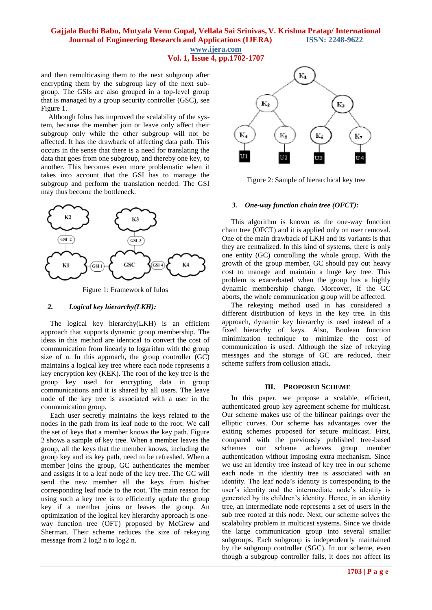## **Gajjala Buchi Babu, Mutyala Venu Gopal, Vellala Sai Srinivas, V. Krishna Pratap/ International Journal of Engineering Research and Applications (IJERA)** ISSN: 2248-9622 **www.ijera.com**

**Vol. 1, Issue 4, pp.1702-1707**

and then remulticasing them to the next subgroup after encrypting them by the subgroup key of the next subgroup. The GSIs are also grouped in a top-level group that is managed by a group security controller (GSC), see Figure 1.

 Although Iolus has improved the scalability of the system, because the member join or leave only affect their subgroup only while the other subgroup will not be affected. It has the drawback of affecting data path. This occurs in the sense that there is a need for translating the data that goes from one subgroup, and thereby one key, to another. This becomes even more problematic when it takes into account that the GSI has to manage the subgroup and perform the translation needed. The GSI may thus become the bottleneck.



Figure 1: Framework of Iulos

#### *2. Logical key hierarchy(LKH):*

 The logical key hierarchy(LKH) is an efficient approach that supports dynamic group membership. The ideas in this method are identical to convert the cost of communication from linearly to logarithm with the group size of n. In this approach, the group controller (GC) maintains a logical key tree where each node represents a key encryption key (KEK). The root of the key tree is the group key used for encrypting data in group communications and it is shared by all users. The leave node of the key tree is associated with a user in the communication group.

 Each user secretly maintains the keys related to the nodes in the path from its leaf node to the root. We call the set of keys that a member knows the key path. Figure 2 shows a sample of key tree. When a member leaves the group, all the keys that the member knows, including the group key and its key path, need to be refreshed. When a member joins the group, GC authenticates the member and assigns it to a leaf node of the key tree. The GC will send the new member all the keys from his/her corresponding leaf node to the root. The main reason for using such a key tree is to efficiently update the group key if a member joins or leaves the group. An optimization of the logical key hierarchy approach is oneway function tree (OFT) proposed by McGrew and Sherman. Their scheme reduces the size of rekeying message from 2 log2 n to log2 n.



Figure 2: Sample of hierarchical key tree

#### *3. One-way function chain tree (OFCT):*

 This algorithm is known as the one-way function chain tree (OFCT) and it is applied only on user removal. One of the main drawback of LKH and its variants is that they are centralized. In this kind of systems, there is only one entity (GC) controlling the whole group. With the growth of the group member, GC should pay out heavy cost to manage and maintain a huge key tree. This problem is exacerbated when the group has a highly dynamic membership change. Moreover, if the GC aborts, the whole communication group will be affected.

 The rekeying method used in has considered a different distribution of keys in the key tree. In this approach, dynamic key hierarchy is used instead of a fixed hierarchy of keys. Also, Boolean function minimization technique to minimize the cost of communication is used. Although the size of rekeying messages and the storage of GC are reduced, their scheme suffers from collusion attack.

#### **III. PROPOSED SCHEME**

 In this paper, we propose a scalable, efficient, authenticated group key agreement scheme for multicast. Our scheme makes use of the bilinear pairings over the elliptic curves. Our scheme has advantages over the exiting schemes proposed for secure multicast. First, compared with the previously published tree-based schemes our scheme achieves group member authentication without imposing extra mechanism. Since we use an identity tree instead of key tree in our scheme each node in the identity tree is associated with an identity. The leaf node's identity is corresponding to the user's identity and the intermediate node's identity is generated by its children's identity. Hence, in an identity tree, an intermediate node represents a set of users in the sub tree rooted at this node. Next, our scheme solves the scalability problem in multicast systems. Since we divide the large communication group into several smaller subgroups. Each subgroup is independently maintained by the subgroup controller (SGC). In our scheme, even though a subgroup controller fails, it does not affect its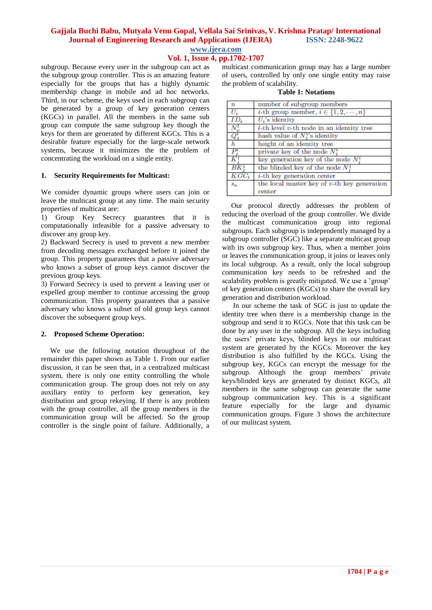## **Gajjala Buchi Babu, Mutyala Venu Gopal, Vellala Sai Srinivas, V. Krishna Pratap/ International Journal of Engineering Research and Applications (IJERA) ISSN: 2248-9622 www.ijera.com**

**Vol. 1, Issue 4, pp.1702-1707**

subgroup. Because every user in the subgroup can act as the subgroup group controller. This is an amazing feature especially for the groups that has a highly dynamic membership change in mobile and ad hoc networks. Third, in our scheme, the keys used in each subgroup can be generated by a group of key generation centers (KGCs) in parallel. All the members in the same sub group can compute the same subgroup key though the keys for them are generated by different KGCs. This is a desirable feature especially for the large-scale network systems, because it minimizes the the problem of concentrating the workload on a single entity.

#### **1. Security Requirements for Multicast:**

We consider dynamic groups where users can join or leave the multicast group at any time. The main security properties of multicast are:

1) Group Key Secrecy guarantees that it is computationally infeasible for a passive adversary to discover any group key.

2) Backward Secrecy is used to prevent a new member from decoding messages exchanged before it joined the group. This property guarantees that a passive adversary who knows a subset of group keys cannot discover the previous group keys.

3) Forward Secrecy is used to prevent a leaving user or expelled group member to continue accessing the group communication. This property guarantees that a passive adversary who knows a subset of old group keys cannot discover the subsequent group keys.

#### **2. Proposed Scheme Operation:**

 We use the following notation throughout of the remainder this paper shown as Table 1. From our earlier discussion, it can be seen that, in a centralized multicast system, there is only one entity controlling the whole communication group. The group does not rely on any auxiliary entity to perform key generation, key distribution and group rekeying. If there is any problem with the group controller, all the group members in the communication group will be affected. So the group controller is the single point of failure. Additionally, a multicast communication group may has a large number of users, controlled by only one single entity may raise the problem of scalability.

|  | <b>Table 1: Notations</b> |
|--|---------------------------|
|  |                           |

| $\boldsymbol{n}$         | number of subgroup members                            |
|--------------------------|-------------------------------------------------------|
| $U_i$                    | <i>i</i> -th group member, $i \in \{1, 2, \dots, n\}$ |
| $ID_i$                   | $U_i$ 's identity                                     |
| $N_{\rm L}^{l}$          | $l$ -th level $v$ -th node in an identity tree        |
| $Q_j^i$                  | hash value of $N_i^{\nu}$ s identity                  |
| h                        | height of an identity tree                            |
| $P_{\cdot}^{\mathrm{r}}$ | private key of the node $N_i^i$                       |
|                          | key generation key of the node $N_i^i$                |
| ВK                       | the blinded key of the node $N_i^i$                   |
| $KGC_i$                  | $i$ -th key generation center                         |
| $S_{\text{eff}}$         | the local master key of $v$ -th key generation        |
|                          | center                                                |

 Our protocol directly addresses the problem of reducing the overload of the group controller. We divide the multicast communication group into regional subgroups. Each subgroup is independently managed by a subgroup controller (SGC) like a separate multicast group with its own subgroup key. Thus, when a member joins or leaves the communication group, it joins or leaves only its local subgroup. As a result, only the local subgroup communication key needs to be refreshed and the scalability problem is greatly mitigated. We use a 'group' of key generation centers (KGCs) to share the overall key generation and distribution workload.

 In our scheme the task of SGC is just to update the identity tree when there is a membership change in the subgroup and send it to KGCs. Note that this task can be done by any user in the subgroup. All the keys including the users' private keys, blinded keys in our multicast system are generated by the KGCs. Moreover the key distribution is also fulfilled by the KGCs. Using the subgroup key, KGCs can encrypt the message for the subgroup. Although the group members' private keys/blinded keys are generated by distinct KGCs, all members in the same subgroup can generate the same subgroup communication key. This is a significant feature especially for the large and dynamic communication groups. Figure 3 shows the architecture of our mulitcast system.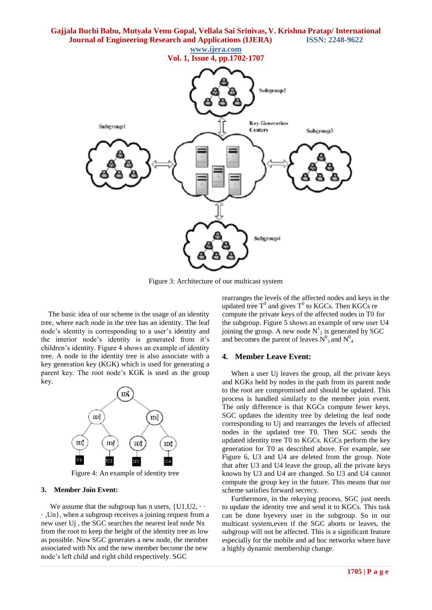

Figure 3: Architecture of our multicast system

 The basic idea of our scheme is the usage of an identity tree, where each node in the tree has an identity. The leaf node's identity is corresponding to a user's identity and the interior node's identity is generated from it's children's identity. Figure 4 shows an example of identity tree. A node in the identity tree is also associate with a key generation key (KGK) which is used for generating a parent key. The root node's KGK is used as the group key.



Figure 4: An example of identity tree

#### **3. Member Join Event:**

We assume that the subgroup has n users,  $\{U1, U2, \cdots\}$ · ,Un}, when a subgroup receives a joining request from a new user Uj , the SGC searches the nearest leaf node Nx from the root to keep the height of the identity tree as low as possible. Now SGC generates a new node, the member associated with Nx and the new member become the new node's left child and right child respectively. SGC

rearranges the levels of the affected nodes and keys in the updated tree T<sup>0</sup> and gives T<sup>0</sup> to KGCs. Then KGCs re compute the private keys of the affected nodes in T0 for the subgroup. Figure 5 shows an example of new user U4 joining the group. A new node  $N^1_{2}$  is generated by SGC and becomes the parent of leaves  $N^0_3$  and  $N^0_4$ 

#### **4. Member Leave Event:**

 When a user Uj leaves the group, all the private keys and KGKs held by nodes in the path from its parent node to the root are compromised and should be updated. This process is handled similarly to the member join event. The only difference is that KGCs compute fewer keys. SGC updates the identity tree by deleting the leaf node corresponding to Uj and rearranges the levels of affected nodes in the updated tree T0. Then SGC sends the updated identity tree T0 to KGCs. KGCs perform the key generation for T0 as described above. For example, see Figure 6, U3 and U4 are deleted from the group. Note that after U3 and U4 leave the group, all the private keys known by U3 and U4 are changed. So U3 and U4 cannot compute the group key in the future. This means that our scheme satisfies forward secrecy.

 Furthermore, in the rekeying process, SGC just needs to update the identity tree and send it to KGCs. This task can be done byevery user in the subgroup. So in our multicast system,even if the SGC aborts or leaves, the subgroup will not be affected. This is a significant feature especially for the mobile and ad hoc networks where have a highly dynamic membership change.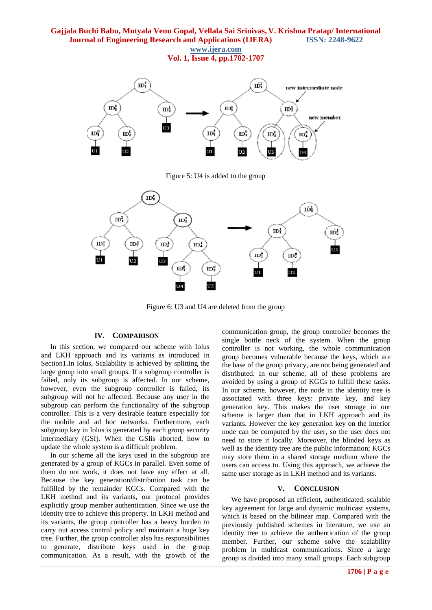## **Gajjala Buchi Babu, Mutyala Venu Gopal, Vellala Sai Srinivas, V. Krishna Pratap/ International Journal of Engineering Research and Applications (IJERA) ISSN: 2248-9622 www.ijera.com**

**Vol. 1, Issue 4, pp.1702-1707**



Figure 5: U4 is added to the group



Figure 6: U3 and U4 are deleted from the group

### **IV. COMPARISON**

 In this section, we compared our scheme with Iolus and LKH approach and its variants as introduced in Section1.In Iolus, Scalability is achieved by splitting the large group into small groups. If a subgroup controller is failed, only its subgroup is affected. In our scheme, however, even the subgroup controller is failed, its subgroup will not be affected. Because any user in the subgroup can perform the functionality of the subgroup controller. This is a very desirable feature especially for the mobile and ad hoc networks. Furthermore, each subgroup key in Iolus is generated by each group security intermediary (GSI). When the GSIis aborted, how to update the whole system is a difficult problem.

 In our scheme all the keys used in the subgroup are generated by a group of KGCs in parallel. Even some of them do not work, it does not have any effect at all. Because the key generation/distribution task can be fulfilled by the remainder KGCs. Compared with the LKH method and its variants, our protocol provides explicitly group member authentication. Since we use the identity tree to achieve this property. In LKH method and its variants, the group controller has a heavy burden to carry out access control policy and maintain a huge key tree. Further, the group controller also has responsibilities to generate, distribute keys used in the group communication. As a result, with the growth of the

communication group, the group controller becomes the single bottle neck of the system. When the group controller is not working, the whole communication group becomes vulnerable because the keys, which are the base of the group privacy, are not being generated and distributed. In our scheme, all of these problems are avoided by using a group of KGCs to fulfill these tasks. In our scheme, however, the node in the identity tree is associated with three keys: private key, and key generation key. This makes the user storage in our scheme is larger than that in LKH approach and its variants. However the key generation key on the interior node can be computed by the user, so the user does not need to store it locally. Moreover, the blinded keys as well as the identity tree are the public information; KGCs may store them in a shared storage medium where the users can access to. Using this approach, we achieve the same user storage as in LKH method and its variants.

#### **V. CONCLUSION**

 We have proposed an efficient, authenticated, scalable key agreement for large and dynamic multicast systems, which is based on the bilinear map. Compared with the previously published schemes in literature, we use an identity tree to achieve the authentication of the group member. Further, our scheme solve the scalability problem in multicast communications. Since a large group is divided into many small groups. Each subgroup